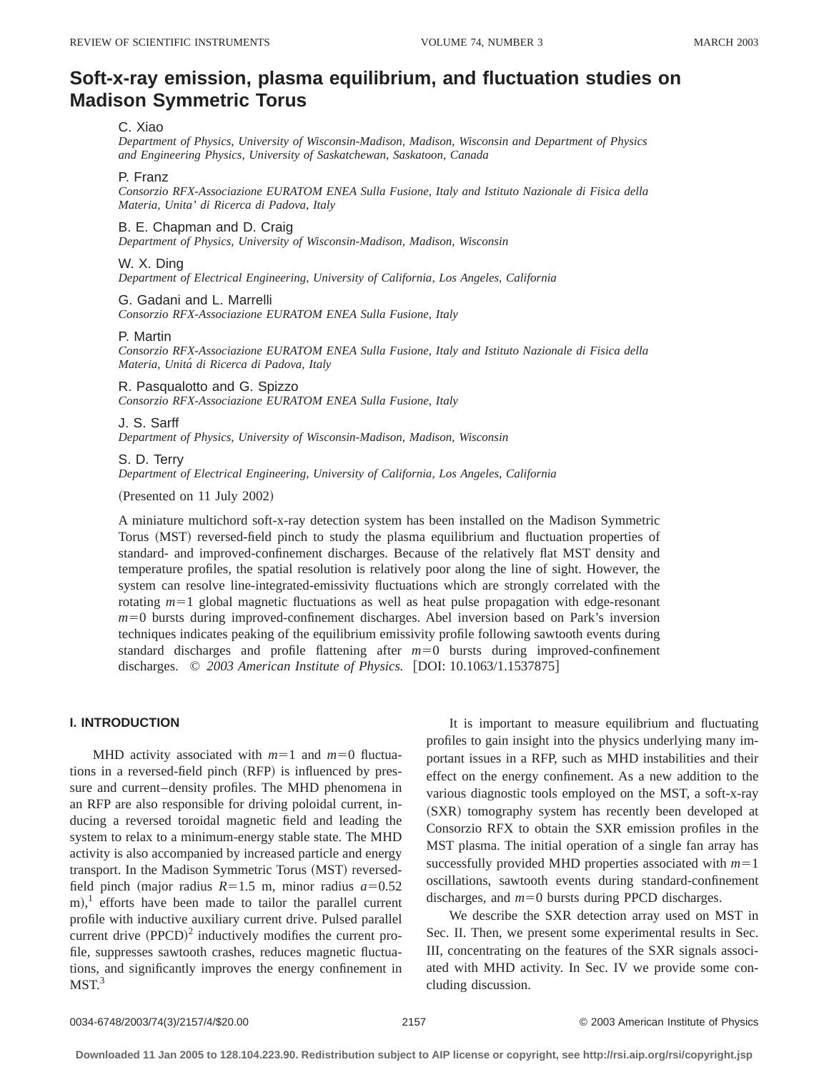# **Soft-x-ray emission, plasma equilibrium, and fluctuation studies on Madison Symmetric Torus**

# C. Xiao

*Department of Physics, University of Wisconsin-Madison, Madison, Wisconsin and Department of Physics and Engineering Physics, University of Saskatchewan, Saskatoon, Canada*

#### P. Franz

*Consorzio RFX-Associazione EURATOM ENEA Sulla Fusione, Italy and Istituto Nazionale di Fisica della Materia, Unita' di Ricerca di Padova, Italy*

#### B. E. Chapman and D. Craig

*Department of Physics, University of Wisconsin-Madison, Madison, Wisconsin*

## W. X. Ding

*Department of Electrical Engineering, University of California, Los Angeles, California*

## G. Gadani and L. Marrelli

*Consorzio RFX-Associazione EURATOM ENEA Sulla Fusione, Italy*

#### P. Martin

*Consorzio RFX-Associazione EURATOM ENEA Sulla Fusione, Italy and Istituto Nazionale di Fisica della Materia, Unita´ di Ricerca di Padova, Italy*

## R. Pasqualotto and G. Spizzo

*Consorzio RFX-Associazione EURATOM ENEA Sulla Fusione, Italy*

#### J. S. Sarff

*Department of Physics, University of Wisconsin-Madison, Madison, Wisconsin*

#### S. D. Terry

*Department of Electrical Engineering, University of California, Los Angeles, California*

(Presented on 11 July 2002)

A miniature multichord soft-x-ray detection system has been installed on the Madison Symmetric Torus (MST) reversed-field pinch to study the plasma equilibrium and fluctuation properties of standard- and improved-confinement discharges. Because of the relatively flat MST density and temperature profiles, the spatial resolution is relatively poor along the line of sight. However, the system can resolve line-integrated-emissivity fluctuations which are strongly correlated with the rotating  $m=1$  global magnetic fluctuations as well as heat pulse propagation with edge-resonant *m*=0 bursts during improved-confinement discharges. Abel inversion based on Park's inversion techniques indicates peaking of the equilibrium emissivity profile following sawtooth events during standard discharges and profile flattening after  $m=0$  bursts during improved-confinement discharges. © 2003 American Institute of Physics. [DOI: 10.1063/1.1537875]

# **I. INTRODUCTION**

MHD activity associated with  $m=1$  and  $m=0$  fluctuations in a reversed-field pinch (RFP) is influenced by pressure and current–density profiles. The MHD phenomena in an RFP are also responsible for driving poloidal current, inducing a reversed toroidal magnetic field and leading the system to relax to a minimum-energy stable state. The MHD activity is also accompanied by increased particle and energy transport. In the Madison Symmetric Torus (MST) reversedfield pinch (major radius  $R=1.5$  m, minor radius  $a=0.52$  $(m)$ ,<sup>1</sup> efforts have been made to tailor the parallel current profile with inductive auxiliary current drive. Pulsed parallel current drive  $(PPCD)^2$  inductively modifies the current profile, suppresses sawtooth crashes, reduces magnetic fluctuations, and significantly improves the energy confinement in  $MST.<sup>3</sup>$ 

It is important to measure equilibrium and fluctuating profiles to gain insight into the physics underlying many important issues in a RFP, such as MHD instabilities and their effect on the energy confinement. As a new addition to the various diagnostic tools employed on the MST, a soft-x-ray (SXR) tomography system has recently been developed at Consorzio RFX to obtain the SXR emission profiles in the MST plasma. The initial operation of a single fan array has successfully provided MHD properties associated with  $m=1$ oscillations, sawtooth events during standard-confinement discharges, and  $m=0$  bursts during PPCD discharges.

We describe the SXR detection array used on MST in Sec. II. Then, we present some experimental results in Sec. III, concentrating on the features of the SXR signals associated with MHD activity. In Sec. IV we provide some concluding discussion.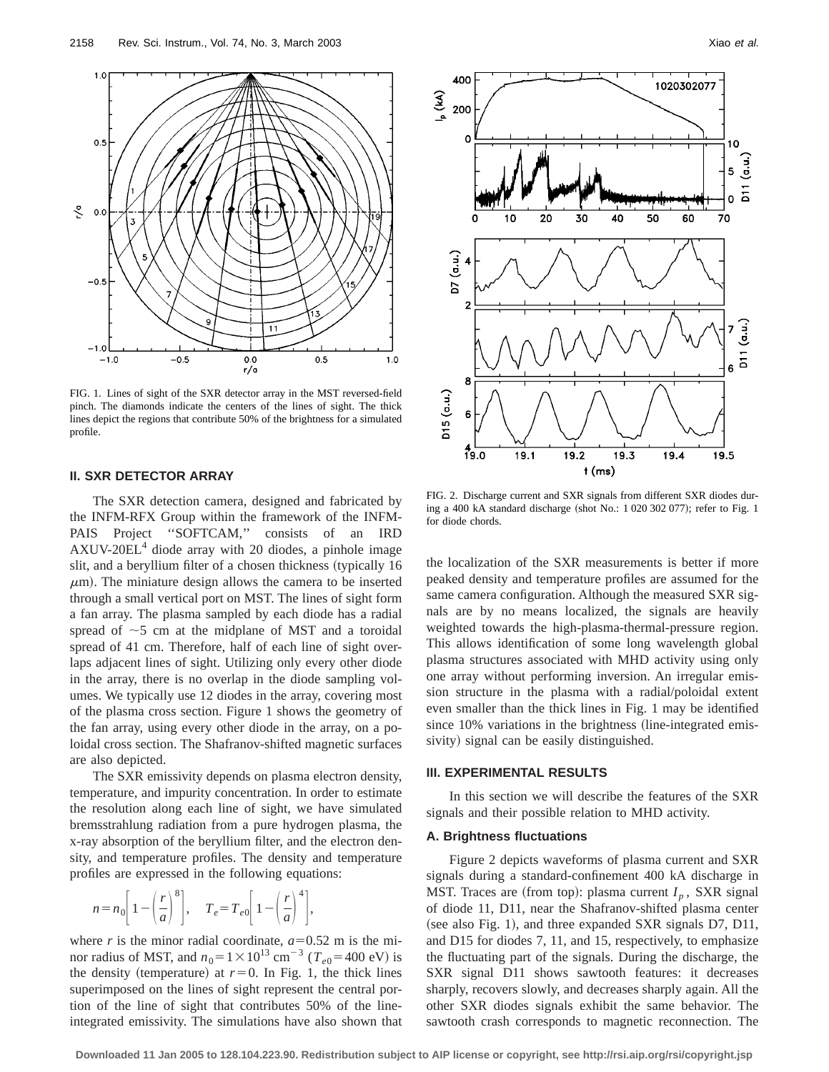

FIG. 1. Lines of sight of the SXR detector array in the MST reversed-field pinch. The diamonds indicate the centers of the lines of sight. The thick lines depict the regions that contribute 50% of the brightness for a simulated profile.

# **II. SXR DETECTOR ARRAY**

The SXR detection camera, designed and fabricated by the INFM-RFX Group within the framework of the INFM-PAIS Project "SOFTCAM," consists of an IRD  $AXUV-20EL<sup>4</sup>$  diode array with 20 diodes, a pinhole image slit, and a beryllium filter of a chosen thickness (typically 16  $\mu$ m). The miniature design allows the camera to be inserted through a small vertical port on MST. The lines of sight form a fan array. The plasma sampled by each diode has a radial spread of  $\sim$ 5 cm at the midplane of MST and a toroidal spread of 41 cm. Therefore, half of each line of sight overlaps adjacent lines of sight. Utilizing only every other diode in the array, there is no overlap in the diode sampling volumes. We typically use 12 diodes in the array, covering most of the plasma cross section. Figure 1 shows the geometry of the fan array, using every other diode in the array, on a poloidal cross section. The Shafranov-shifted magnetic surfaces are also depicted.

The SXR emissivity depends on plasma electron density, temperature, and impurity concentration. In order to estimate the resolution along each line of sight, we have simulated bremsstrahlung radiation from a pure hydrogen plasma, the x-ray absorption of the beryllium filter, and the electron density, and temperature profiles. The density and temperature profiles are expressed in the following equations:

$$
n = n_0 \left[ 1 - \left(\frac{r}{a}\right)^8 \right], \quad T_e = T_{e0} \left[ 1 - \left(\frac{r}{a}\right)^4 \right],
$$

where *r* is the minor radial coordinate,  $a=0.52$  m is the minor radius of MST, and  $n_0 = 1 \times 10^{13}$  cm<sup>-3</sup> ( $T_{e0} = 400$  eV) is the density (temperature) at  $r=0$ . In Fig. 1, the thick lines superimposed on the lines of sight represent the central portion of the line of sight that contributes 50% of the lineintegrated emissivity. The simulations have also shown that



FIG. 2. Discharge current and SXR signals from different SXR diodes during a 400 kA standard discharge (shot No.: 1 020 302 077); refer to Fig. 1 for diode chords.

the localization of the SXR measurements is better if more peaked density and temperature profiles are assumed for the same camera configuration. Although the measured SXR signals are by no means localized, the signals are heavily weighted towards the high-plasma-thermal-pressure region. This allows identification of some long wavelength global plasma structures associated with MHD activity using only one array without performing inversion. An irregular emission structure in the plasma with a radial/poloidal extent even smaller than the thick lines in Fig. 1 may be identified since  $10\%$  variations in the brightness (line-integrated emissivity) signal can be easily distinguished.

#### **III. EXPERIMENTAL RESULTS**

In this section we will describe the features of the SXR signals and their possible relation to MHD activity.

### **A. Brightness fluctuations**

Figure 2 depicts waveforms of plasma current and SXR signals during a standard-confinement 400 kA discharge in MST. Traces are (from top): plasma current  $I_p$ , SXR signal of diode 11, D11, near the Shafranov-shifted plasma center (see also Fig. 1), and three expanded SXR signals D7, D11, and D15 for diodes 7, 11, and 15, respectively, to emphasize the fluctuating part of the signals. During the discharge, the SXR signal D11 shows sawtooth features: it decreases sharply, recovers slowly, and decreases sharply again. All the other SXR diodes signals exhibit the same behavior. The sawtooth crash corresponds to magnetic reconnection. The

**Downloaded 11 Jan 2005 to 128.104.223.90. Redistribution subject to AIP license or copyright, see http://rsi.aip.org/rsi/copyright.jsp**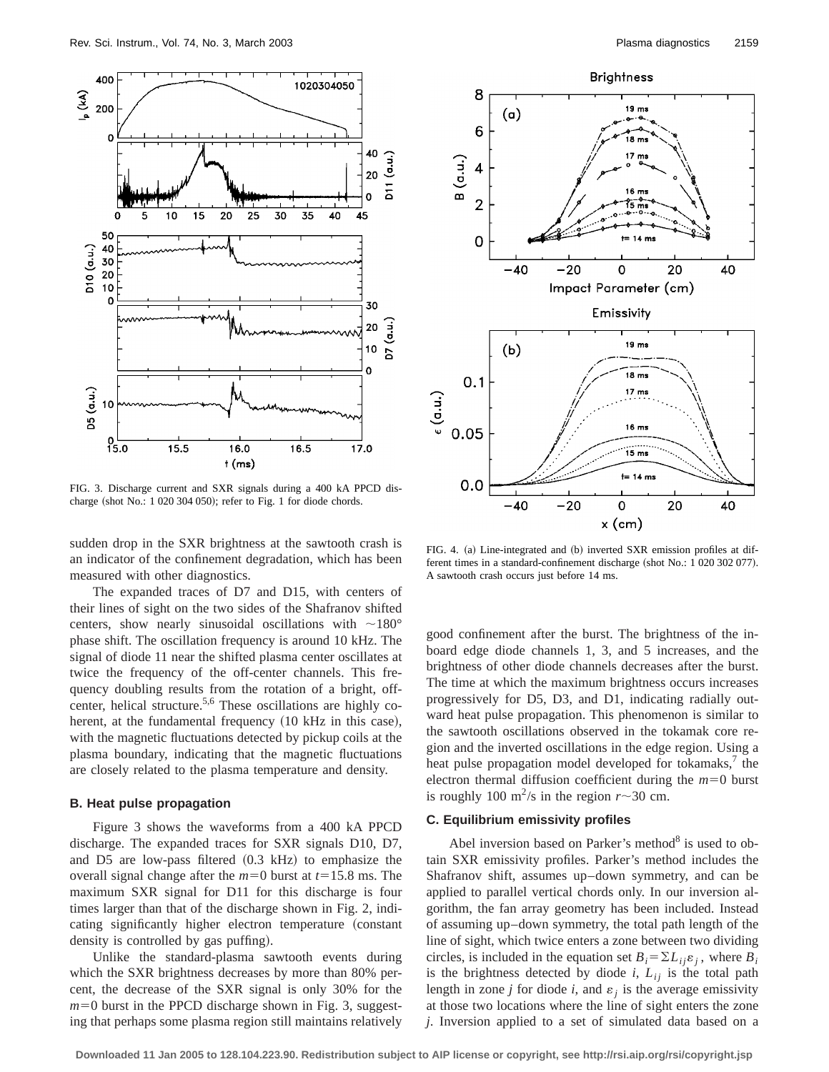

FIG. 3. Discharge current and SXR signals during a 400 kA PPCD discharge (shot No.:  $1 020 304 050$ ); refer to Fig. 1 for diode chords.

sudden drop in the SXR brightness at the sawtooth crash is an indicator of the confinement degradation, which has been measured with other diagnostics.

The expanded traces of D7 and D15, with centers of their lines of sight on the two sides of the Shafranov shifted centers, show nearly sinusoidal oscillations with  $\sim$ 180° phase shift. The oscillation frequency is around 10 kHz. The signal of diode 11 near the shifted plasma center oscillates at twice the frequency of the off-center channels. This frequency doubling results from the rotation of a bright, offcenter, helical structure.<sup>5,6</sup> These oscillations are highly coherent, at the fundamental frequency (10 kHz in this case), with the magnetic fluctuations detected by pickup coils at the plasma boundary, indicating that the magnetic fluctuations are closely related to the plasma temperature and density.

## **B. Heat pulse propagation**

Figure 3 shows the waveforms from a 400 kA PPCD discharge. The expanded traces for SXR signals D10, D7, and D5 are low-pass filtered  $(0.3 \text{ kHz})$  to emphasize the overall signal change after the  $m=0$  burst at  $t=15.8$  ms. The maximum SXR signal for D11 for this discharge is four times larger than that of the discharge shown in Fig. 2, indicating significantly higher electron temperature (constant density is controlled by gas puffing).

Unlike the standard-plasma sawtooth events during which the SXR brightness decreases by more than 80% percent, the decrease of the SXR signal is only 30% for the  $m=0$  burst in the PPCD discharge shown in Fig. 3, suggesting that perhaps some plasma region still maintains relatively



FIG. 4. (a) Line-integrated and (b) inverted SXR emission profiles at different times in a standard-confinement discharge (shot No.: 1 020 302 077). A sawtooth crash occurs just before 14 ms.

good confinement after the burst. The brightness of the inboard edge diode channels 1, 3, and 5 increases, and the brightness of other diode channels decreases after the burst. The time at which the maximum brightness occurs increases progressively for D5, D3, and D1, indicating radially outward heat pulse propagation. This phenomenon is similar to the sawtooth oscillations observed in the tokamak core region and the inverted oscillations in the edge region. Using a heat pulse propagation model developed for tokamaks, $\lambda$  the electron thermal diffusion coefficient during the  $m=0$  burst is roughly 100 m<sup>2</sup>/s in the region  $r \sim 30$  cm.

# **C. Equilibrium emissivity profiles**

Abel inversion based on Parker's method<sup>8</sup> is used to obtain SXR emissivity profiles. Parker's method includes the Shafranov shift, assumes up–down symmetry, and can be applied to parallel vertical chords only. In our inversion algorithm, the fan array geometry has been included. Instead of assuming up–down symmetry, the total path length of the line of sight, which twice enters a zone between two dividing circles, is included in the equation set  $B_i = \sum L_{ij} \varepsilon_j$ , where  $B_i$ is the brightness detected by diode  $i$ ,  $L_{ij}$  is the total path length in zone *j* for diode *i*, and  $\varepsilon_j$  is the average emissivity at those two locations where the line of sight enters the zone *j*. Inversion applied to a set of simulated data based on a